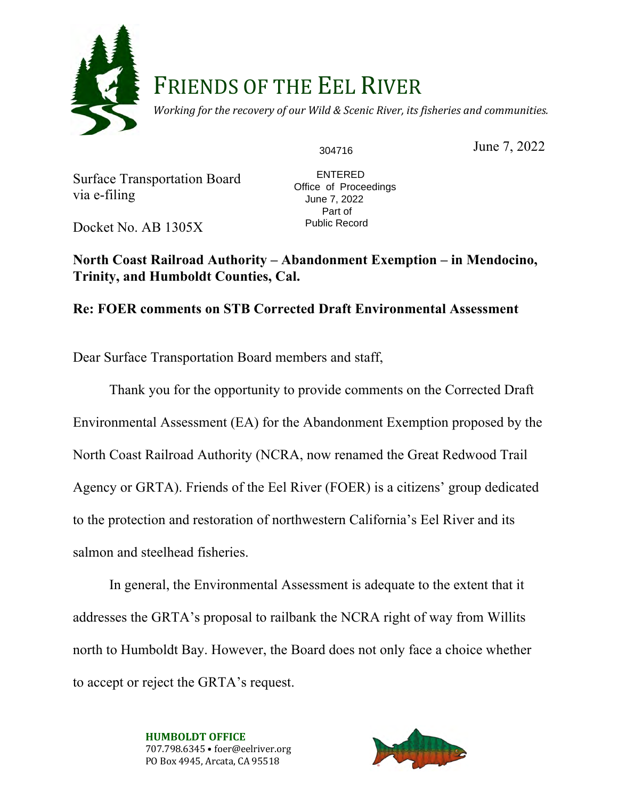

# FRIENDS OF THE EEL RIVER

*Working for the recovery of our Wild & Scenic River, its fisheries and communities.* 

304716

June 7, 2022

Surface Transportation Board via e-filing

 ENTERED Office of Proceedings June 7, 2022 Part of Public Record

Docket No. AB 1305X

**North Coast Railroad Authority – Abandonment Exemption – in Mendocino, Trinity, and Humboldt Counties, Cal.**

## **Re: FOER comments on STB Corrected Draft Environmental Assessment**

Dear Surface Transportation Board members and staff,

Thank you for the opportunity to provide comments on the Corrected Draft Environmental Assessment (EA) for the Abandonment Exemption proposed by the North Coast Railroad Authority (NCRA, now renamed the Great Redwood Trail Agency or GRTA). Friends of the Eel River (FOER) is a citizens' group dedicated to the protection and restoration of northwestern California's Eel River and its salmon and steelhead fisheries.

In general, the Environmental Assessment is adequate to the extent that it addresses the GRTA's proposal to railbank the NCRA right of way from Willits north to Humboldt Bay. However, the Board does not only face a choice whether to accept or reject the GRTA's request.

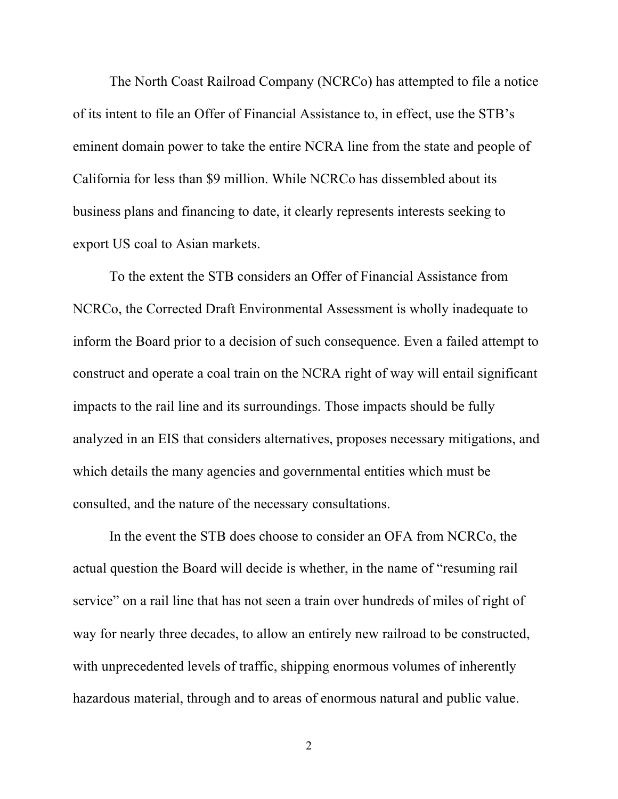The North Coast Railroad Company (NCRCo) has attempted to file a notice of its intent to file an Offer of Financial Assistance to, in effect, use the STB's eminent domain power to take the entire NCRA line from the state and people of California for less than \$9 million. While NCRCo has dissembled about its business plans and financing to date, it clearly represents interests seeking to export US coal to Asian markets.

To the extent the STB considers an Offer of Financial Assistance from NCRCo, the Corrected Draft Environmental Assessment is wholly inadequate to inform the Board prior to a decision of such consequence. Even a failed attempt to construct and operate a coal train on the NCRA right of way will entail significant impacts to the rail line and its surroundings. Those impacts should be fully analyzed in an EIS that considers alternatives, proposes necessary mitigations, and which details the many agencies and governmental entities which must be consulted, and the nature of the necessary consultations.

In the event the STB does choose to consider an OFA from NCRCo, the actual question the Board will decide is whether, in the name of "resuming rail service" on a rail line that has not seen a train over hundreds of miles of right of way for nearly three decades, to allow an entirely new railroad to be constructed, with unprecedented levels of traffic, shipping enormous volumes of inherently hazardous material, through and to areas of enormous natural and public value.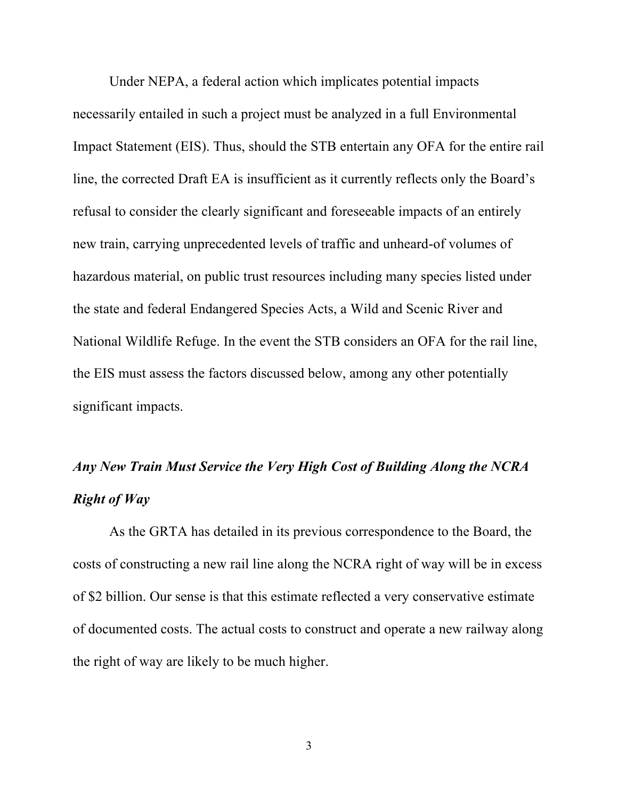Under NEPA, a federal action which implicates potential impacts necessarily entailed in such a project must be analyzed in a full Environmental Impact Statement (EIS). Thus, should the STB entertain any OFA for the entire rail line, the corrected Draft EA is insufficient as it currently reflects only the Board's refusal to consider the clearly significant and foreseeable impacts of an entirely new train, carrying unprecedented levels of traffic and unheard-of volumes of hazardous material, on public trust resources including many species listed under the state and federal Endangered Species Acts, a Wild and Scenic River and National Wildlife Refuge. In the event the STB considers an OFA for the rail line, the EIS must assess the factors discussed below, among any other potentially significant impacts.

## *Any New Train Must Service the Very High Cost of Building Along the NCRA Right of Way*

As the GRTA has detailed in its previous correspondence to the Board, the costs of constructing a new rail line along the NCRA right of way will be in excess of \$2 billion. Our sense is that this estimate reflected a very conservative estimate of documented costs. The actual costs to construct and operate a new railway along the right of way are likely to be much higher.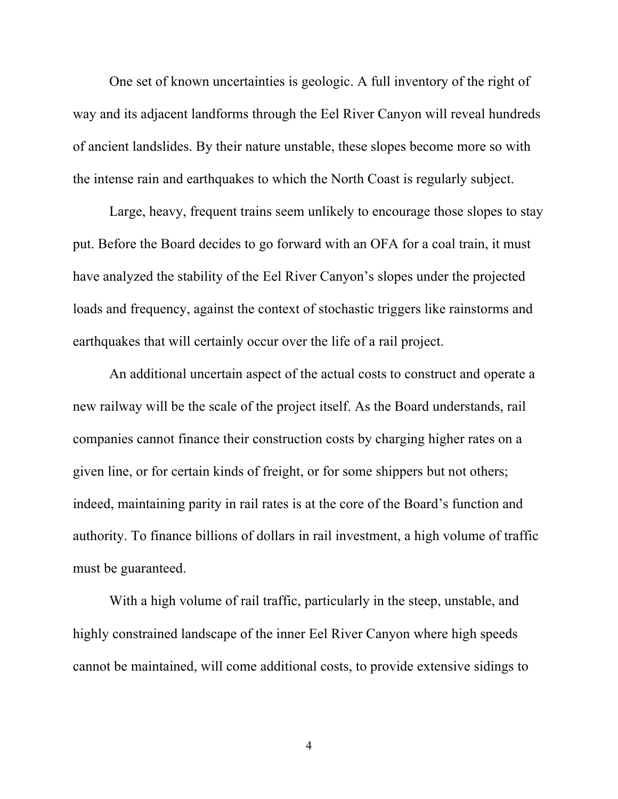One set of known uncertainties is geologic. A full inventory of the right of way and its adjacent landforms through the Eel River Canyon will reveal hundreds of ancient landslides. By their nature unstable, these slopes become more so with the intense rain and earthquakes to which the North Coast is regularly subject.

Large, heavy, frequent trains seem unlikely to encourage those slopes to stay put. Before the Board decides to go forward with an OFA for a coal train, it must have analyzed the stability of the Eel River Canyon's slopes under the projected loads and frequency, against the context of stochastic triggers like rainstorms and earthquakes that will certainly occur over the life of a rail project.

An additional uncertain aspect of the actual costs to construct and operate a new railway will be the scale of the project itself. As the Board understands, rail companies cannot finance their construction costs by charging higher rates on a given line, or for certain kinds of freight, or for some shippers but not others; indeed, maintaining parity in rail rates is at the core of the Board's function and authority. To finance billions of dollars in rail investment, a high volume of traffic must be guaranteed.

With a high volume of rail traffic, particularly in the steep, unstable, and highly constrained landscape of the inner Eel River Canyon where high speeds cannot be maintained, will come additional costs, to provide extensive sidings to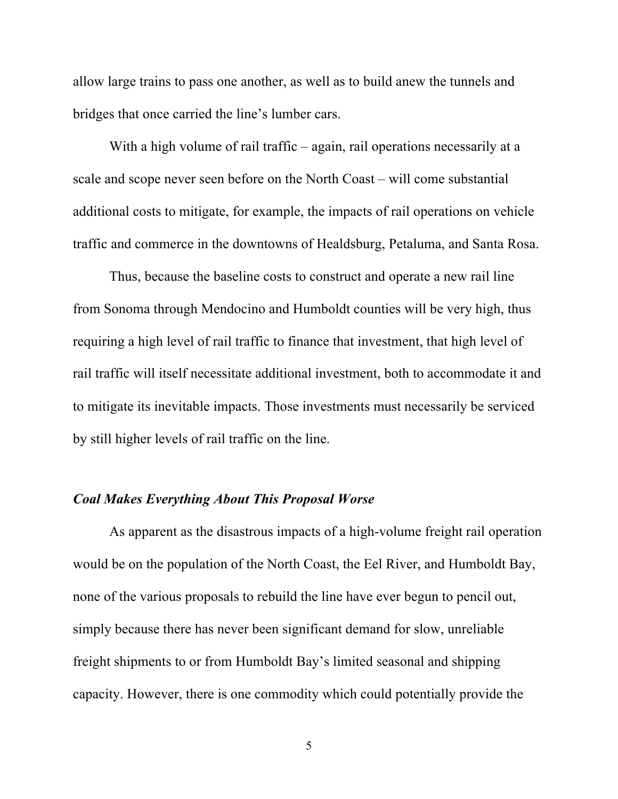allow large trains to pass one another, as well as to build anew the tunnels and bridges that once carried the line's lumber cars.

With a high volume of rail traffic – again, rail operations necessarily at a scale and scope never seen before on the North Coast – will come substantial additional costs to mitigate, for example, the impacts of rail operations on vehicle traffic and commerce in the downtowns of Healdsburg, Petaluma, and Santa Rosa.

Thus, because the baseline costs to construct and operate a new rail line from Sonoma through Mendocino and Humboldt counties will be very high, thus requiring a high level of rail traffic to finance that investment, that high level of rail traffic will itself necessitate additional investment, both to accommodate it and to mitigate its inevitable impacts. Those investments must necessarily be serviced by still higher levels of rail traffic on the line.

## *Coal Makes Everything About This Proposal Worse*

As apparent as the disastrous impacts of a high-volume freight rail operation would be on the population of the North Coast, the Eel River, and Humboldt Bay, none of the various proposals to rebuild the line have ever begun to pencil out, simply because there has never been significant demand for slow, unreliable freight shipments to or from Humboldt Bay's limited seasonal and shipping capacity. However, there is one commodity which could potentially provide the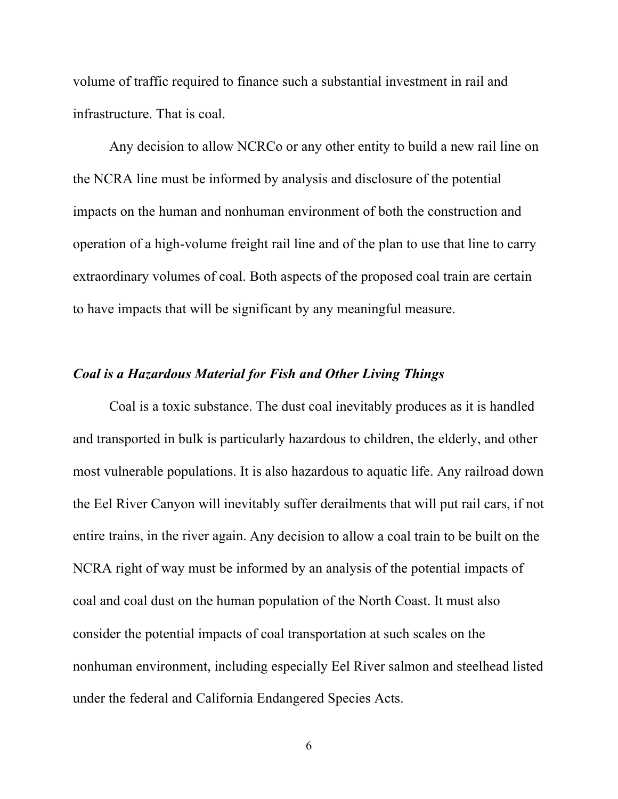volume of traffic required to finance such a substantial investment in rail and infrastructure. That is coal.

Any decision to allow NCRCo or any other entity to build a new rail line on the NCRA line must be informed by analysis and disclosure of the potential impacts on the human and nonhuman environment of both the construction and operation of a high-volume freight rail line and of the plan to use that line to carry extraordinary volumes of coal. Both aspects of the proposed coal train are certain to have impacts that will be significant by any meaningful measure.

## *Coal is a Hazardous Material for Fish and Other Living Things*

Coal is a toxic substance. The dust coal inevitably produces as it is handled and transported in bulk is particularly hazardous to children, the elderly, and other most vulnerable populations. It is also hazardous to aquatic life. Any railroad down the Eel River Canyon will inevitably suffer derailments that will put rail cars, if not entire trains, in the river again. Any decision to allow a coal train to be built on the NCRA right of way must be informed by an analysis of the potential impacts of coal and coal dust on the human population of the North Coast. It must also consider the potential impacts of coal transportation at such scales on the nonhuman environment, including especially Eel River salmon and steelhead listed under the federal and California Endangered Species Acts.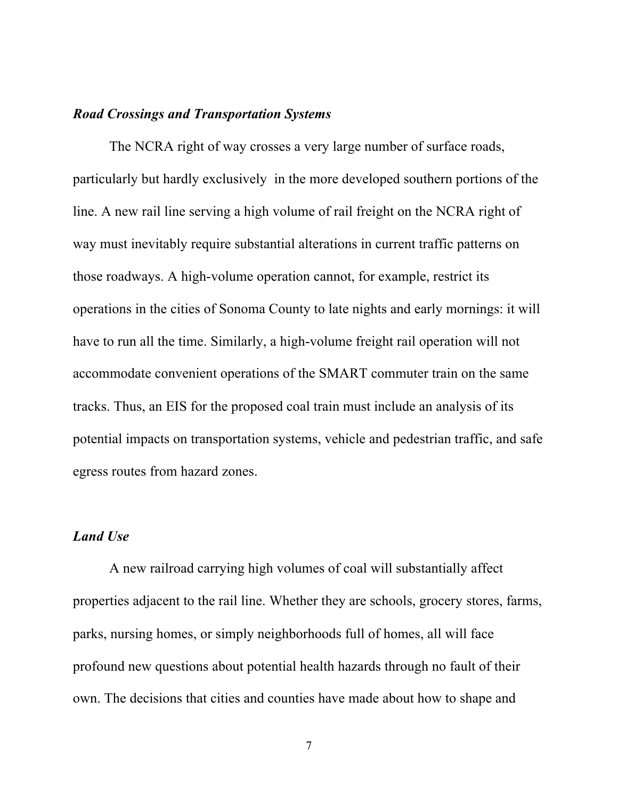## *Road Crossings and Transportation Systems*

The NCRA right of way crosses a very large number of surface roads, particularly but hardly exclusively in the more developed southern portions of the line. A new rail line serving a high volume of rail freight on the NCRA right of way must inevitably require substantial alterations in current traffic patterns on those roadways. A high-volume operation cannot, for example, restrict its operations in the cities of Sonoma County to late nights and early mornings: it will have to run all the time. Similarly, a high-volume freight rail operation will not accommodate convenient operations of the SMART commuter train on the same tracks. Thus, an EIS for the proposed coal train must include an analysis of its potential impacts on transportation systems, vehicle and pedestrian traffic, and safe egress routes from hazard zones.

#### *Land Use*

A new railroad carrying high volumes of coal will substantially affect properties adjacent to the rail line. Whether they are schools, grocery stores, farms, parks, nursing homes, or simply neighborhoods full of homes, all will face profound new questions about potential health hazards through no fault of their own. The decisions that cities and counties have made about how to shape and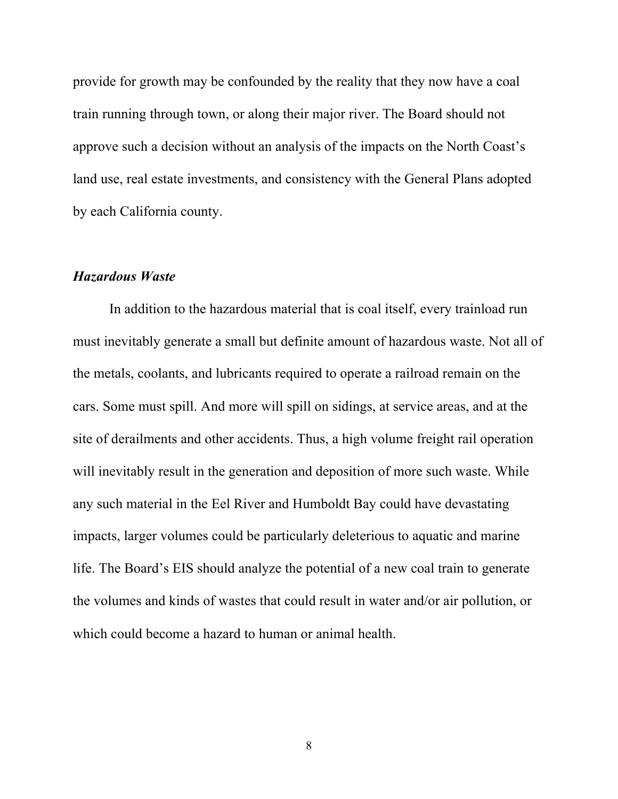provide for growth may be confounded by the reality that they now have a coal train running through town, or along their major river. The Board should not approve such a decision without an analysis of the impacts on the North Coast's land use, real estate investments, and consistency with the General Plans adopted by each California county.

#### *Hazardous Waste*

In addition to the hazardous material that is coal itself, every trainload run must inevitably generate a small but definite amount of hazardous waste. Not all of the metals, coolants, and lubricants required to operate a railroad remain on the cars. Some must spill. And more will spill on sidings, at service areas, and at the site of derailments and other accidents. Thus, a high volume freight rail operation will inevitably result in the generation and deposition of more such waste. While any such material in the Eel River and Humboldt Bay could have devastating impacts, larger volumes could be particularly deleterious to aquatic and marine life. The Board's EIS should analyze the potential of a new coal train to generate the volumes and kinds of wastes that could result in water and/or air pollution, or which could become a hazard to human or animal health.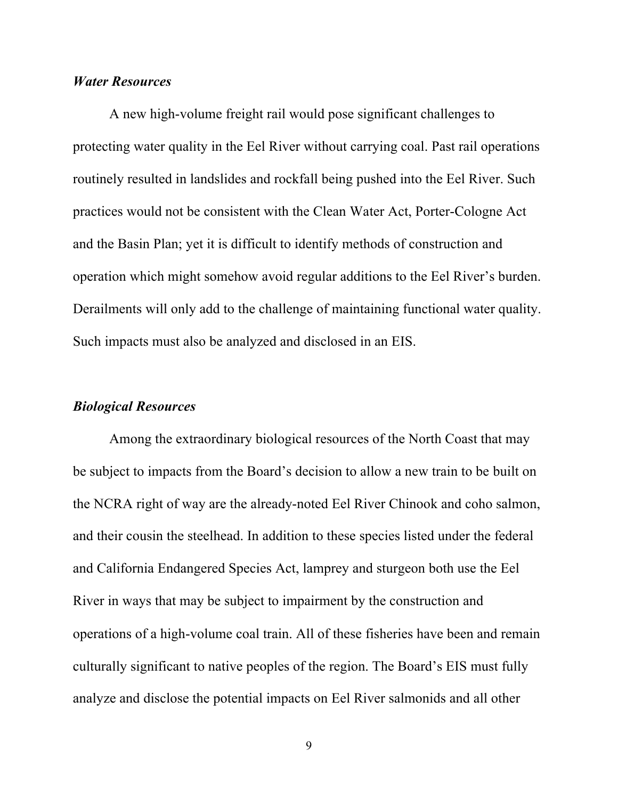#### *Water Resources*

A new high-volume freight rail would pose significant challenges to protecting water quality in the Eel River without carrying coal. Past rail operations routinely resulted in landslides and rockfall being pushed into the Eel River. Such practices would not be consistent with the Clean Water Act, Porter-Cologne Act and the Basin Plan; yet it is difficult to identify methods of construction and operation which might somehow avoid regular additions to the Eel River's burden. Derailments will only add to the challenge of maintaining functional water quality. Such impacts must also be analyzed and disclosed in an EIS.

#### *Biological Resources*

Among the extraordinary biological resources of the North Coast that may be subject to impacts from the Board's decision to allow a new train to be built on the NCRA right of way are the already-noted Eel River Chinook and coho salmon, and their cousin the steelhead. In addition to these species listed under the federal and California Endangered Species Act, lamprey and sturgeon both use the Eel River in ways that may be subject to impairment by the construction and operations of a high-volume coal train. All of these fisheries have been and remain culturally significant to native peoples of the region. The Board's EIS must fully analyze and disclose the potential impacts on Eel River salmonids and all other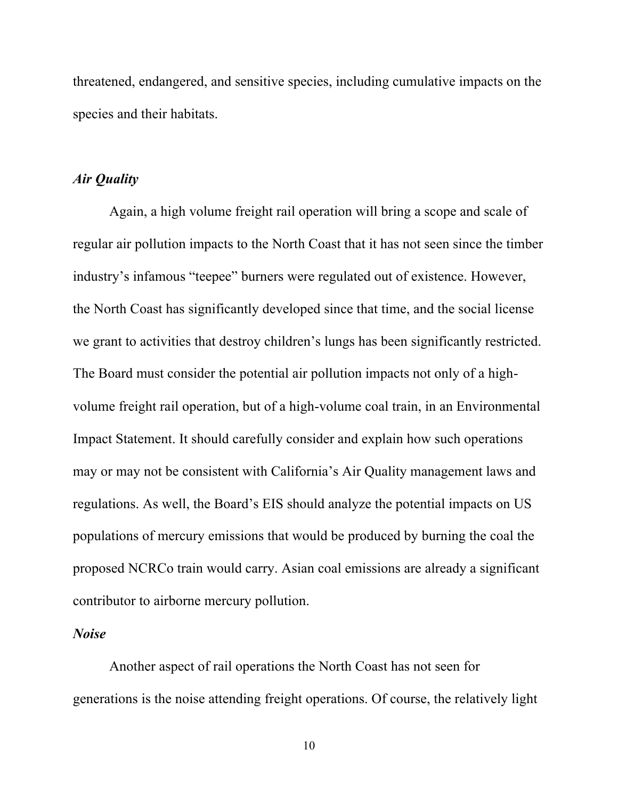threatened, endangered, and sensitive species, including cumulative impacts on the species and their habitats.

## *Air Quality*

Again, a high volume freight rail operation will bring a scope and scale of regular air pollution impacts to the North Coast that it has not seen since the timber industry's infamous "teepee" burners were regulated out of existence. However, the North Coast has significantly developed since that time, and the social license we grant to activities that destroy children's lungs has been significantly restricted. The Board must consider the potential air pollution impacts not only of a highvolume freight rail operation, but of a high-volume coal train, in an Environmental Impact Statement. It should carefully consider and explain how such operations may or may not be consistent with California's Air Quality management laws and regulations. As well, the Board's EIS should analyze the potential impacts on US populations of mercury emissions that would be produced by burning the coal the proposed NCRCo train would carry. Asian coal emissions are already a significant contributor to airborne mercury pollution.

#### *Noise*

Another aspect of rail operations the North Coast has not seen for generations is the noise attending freight operations. Of course, the relatively light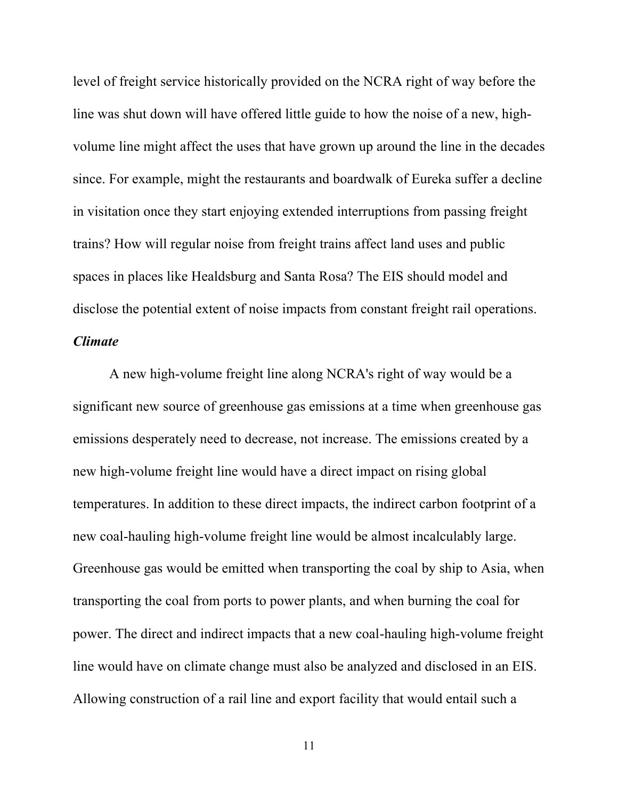level of freight service historically provided on the NCRA right of way before the line was shut down will have offered little guide to how the noise of a new, highvolume line might affect the uses that have grown up around the line in the decades since. For example, might the restaurants and boardwalk of Eureka suffer a decline in visitation once they start enjoying extended interruptions from passing freight trains? How will regular noise from freight trains affect land uses and public spaces in places like Healdsburg and Santa Rosa? The EIS should model and disclose the potential extent of noise impacts from constant freight rail operations. *Climate*

A new high-volume freight line along NCRA's right of way would be a significant new source of greenhouse gas emissions at a time when greenhouse gas emissions desperately need to decrease, not increase. The emissions created by a new high-volume freight line would have a direct impact on rising global temperatures. In addition to these direct impacts, the indirect carbon footprint of a new coal-hauling high-volume freight line would be almost incalculably large. Greenhouse gas would be emitted when transporting the coal by ship to Asia, when transporting the coal from ports to power plants, and when burning the coal for power. The direct and indirect impacts that a new coal-hauling high-volume freight line would have on climate change must also be analyzed and disclosed in an EIS. Allowing construction of a rail line and export facility that would entail such a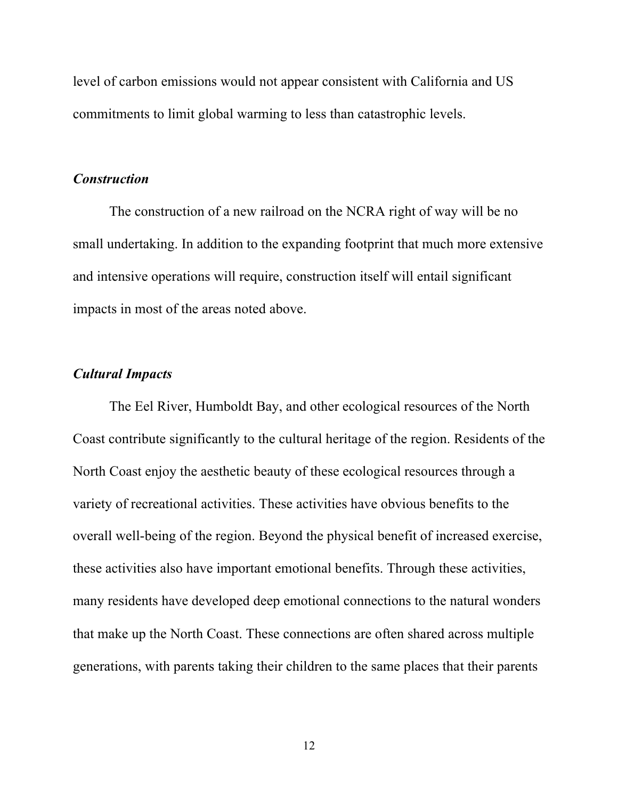level of carbon emissions would not appear consistent with California and US commitments to limit global warming to less than catastrophic levels.

## *Construction*

The construction of a new railroad on the NCRA right of way will be no small undertaking. In addition to the expanding footprint that much more extensive and intensive operations will require, construction itself will entail significant impacts in most of the areas noted above.

## *Cultural Impacts*

The Eel River, Humboldt Bay, and other ecological resources of the North Coast contribute significantly to the cultural heritage of the region. Residents of the North Coast enjoy the aesthetic beauty of these ecological resources through a variety of recreational activities. These activities have obvious benefits to the overall well-being of the region. Beyond the physical benefit of increased exercise, these activities also have important emotional benefits. Through these activities, many residents have developed deep emotional connections to the natural wonders that make up the North Coast. These connections are often shared across multiple generations, with parents taking their children to the same places that their parents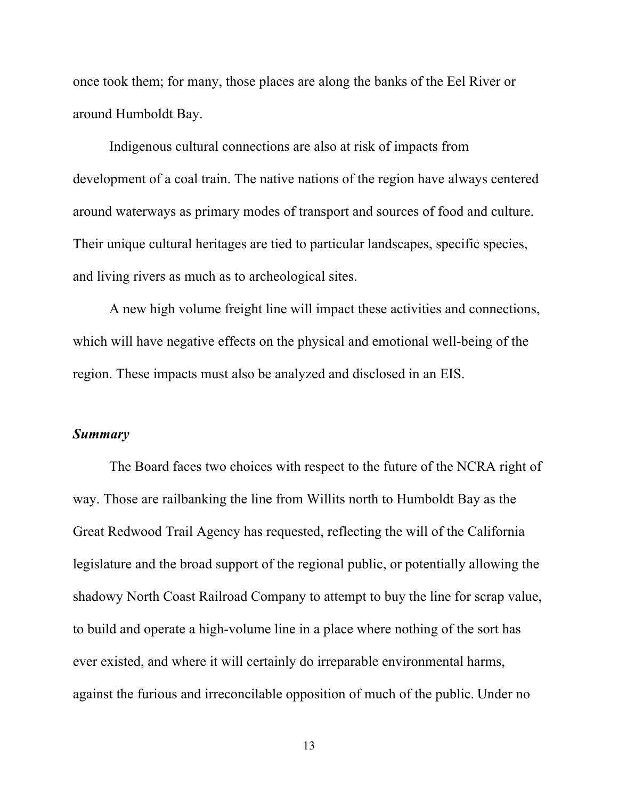once took them; for many, those places are along the banks of the Eel River or around Humboldt Bay.

Indigenous cultural connections are also at risk of impacts from development of a coal train. The native nations of the region have always centered around waterways as primary modes of transport and sources of food and culture. Their unique cultural heritages are tied to particular landscapes, specific species, and living rivers as much as to archeological sites.

A new high volume freight line will impact these activities and connections, which will have negative effects on the physical and emotional well-being of the region. These impacts must also be analyzed and disclosed in an EIS.

## *Summary*

The Board faces two choices with respect to the future of the NCRA right of way. Those are railbanking the line from Willits north to Humboldt Bay as the Great Redwood Trail Agency has requested, reflecting the will of the California legislature and the broad support of the regional public, or potentially allowing the shadowy North Coast Railroad Company to attempt to buy the line for scrap value, to build and operate a high-volume line in a place where nothing of the sort has ever existed, and where it will certainly do irreparable environmental harms, against the furious and irreconcilable opposition of much of the public. Under no